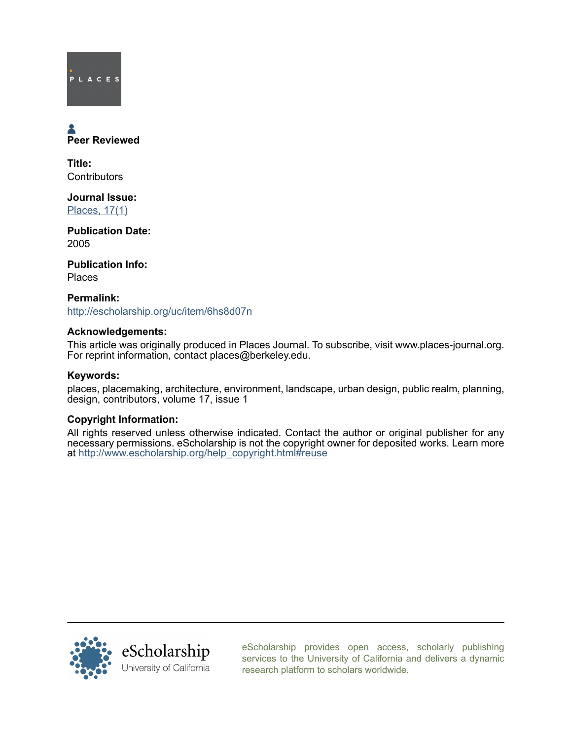# PLACES

## Peer Reviewed

Title: **Contributors** 

Journal Issue: [Places, 17\(1\)](http://escholarship.org/uc/ced_places?volume=17;issue=1)

Publication Date: 2005

Publication Info: Places

Permalink: <http://escholarship.org/uc/item/6hs8d07n>

#### Acknowledgements:

This article was originally produced in Places Journal. To subscribe, visit www.places-journal.org. For reprint information, contact places@berkeley.edu.

#### Keywords:

places, placemaking, architecture, environment, landscape, urban design, public realm, planning, design, contributors, volume 17, issue 1

#### Copyright Information:

All rights reserved unless otherwise indicated. Contact the author or original publisher for any necessary permissions. eScholarship is not the copyright owner for deposited works. Learn more at [http://www.escholarship.org/help\\_copyright.html#reuse](http://www.escholarship.org/help_copyright.html#reuse)



[eScholarship provides open access, scholarly publishing](http://escholarship.org) [services to the University of California and delivers a dynamic](http://escholarship.org) [research platform to scholars worldwide.](http://escholarship.org)